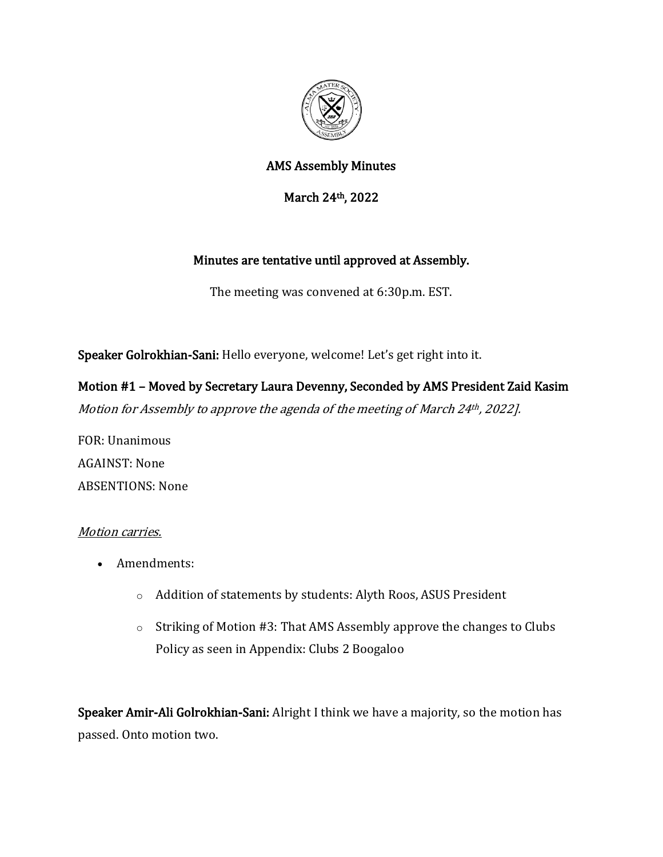

# AMS Assembly Minutes

March 24th, 2022

### Minutes are tentative until approved at Assembly.

The meeting was convened at 6:30p.m. EST.

Speaker Golrokhian-Sani: Hello everyone, welcome! Let's get right into it.

Motion #1 – Moved by Secretary Laura Devenny, Seconded by AMS President Zaid Kasim Motion for Assembly to approve the agenda of the meeting of March 24<sup>th</sup>, 2022].

FOR: Unanimous AGAINST: None ABSENTIONS: None

#### Motion carries.

- Amendments:
	- o Addition of statements by students: Alyth Roos, ASUS President
	- o Striking of Motion #3: That AMS Assembly approve the changes to Clubs Policy as seen in Appendix: Clubs 2 Boogaloo

Speaker Amir-Ali Golrokhian-Sani: Alright I think we have a majority, so the motion has passed. Onto motion two.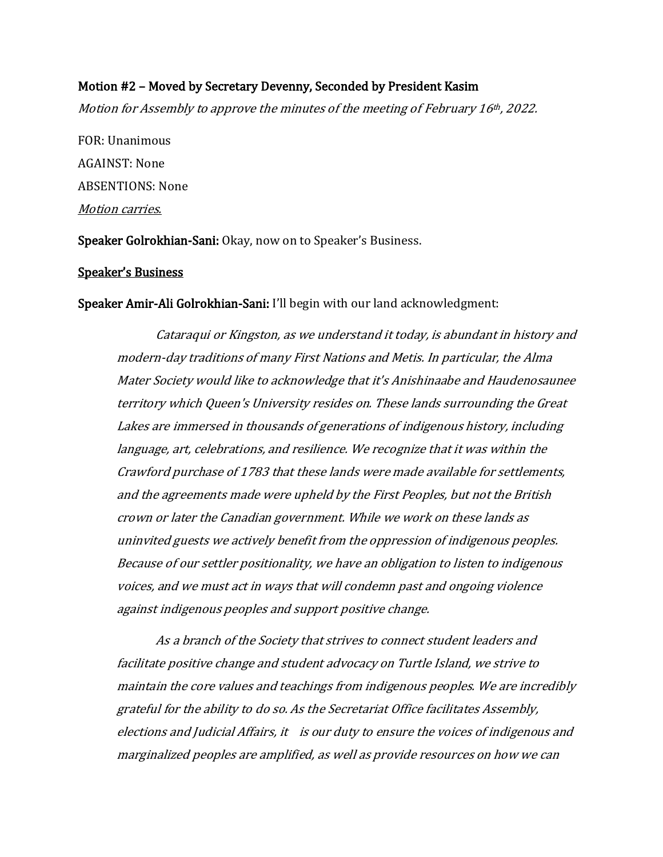#### Motion #2 – Moved by Secretary Devenny, Seconded by President Kasim

Motion for Assembly to approve the minutes of the meeting of February 16th, 2022.

FOR: Unanimous AGAINST: None ABSENTIONS: None Motion carries.

Speaker Golrokhian-Sani: Okay, now on to Speaker's Business.

#### Speaker's Business

Speaker Amir-Ali Golrokhian-Sani: I'll begin with our land acknowledgment:

Cataraqui or Kingston, as we understand it today, is abundant in history and modern-day traditions of many First Nations and Metis. In particular, the Alma Mater Society would like to acknowledge that it's Anishinaabe and Haudenosaunee territory which Queen's University resides on. These lands surrounding the Great Lakes are immersed in thousands of generations of indigenous history, including language, art, celebrations, and resilience. We recognize that it was within the Crawford purchase of 1783 that these lands were made available for settlements, and the agreements made were upheld by the First Peoples, but not the British crown or later the Canadian government. While we work on these lands as uninvited guests we actively benefit from the oppression of indigenous peoples. Because of our settler positionality, we have an obligation to listen to indigenous voices, and we must act in ways that will condemn past and ongoing violence against indigenous peoples and support positive change.

As a branch of the Society that strives to connect student leaders and facilitate positive change and student advocacy on Turtle Island, we strive to maintain the core values and teachings from indigenous peoples. We are incredibly grateful for the ability to do so. As the Secretariat Office facilitates Assembly, elections and Judicial Affairs, it is our duty to ensure the voices of indigenous and marginalized peoples are amplified, as well as provide resources on how we can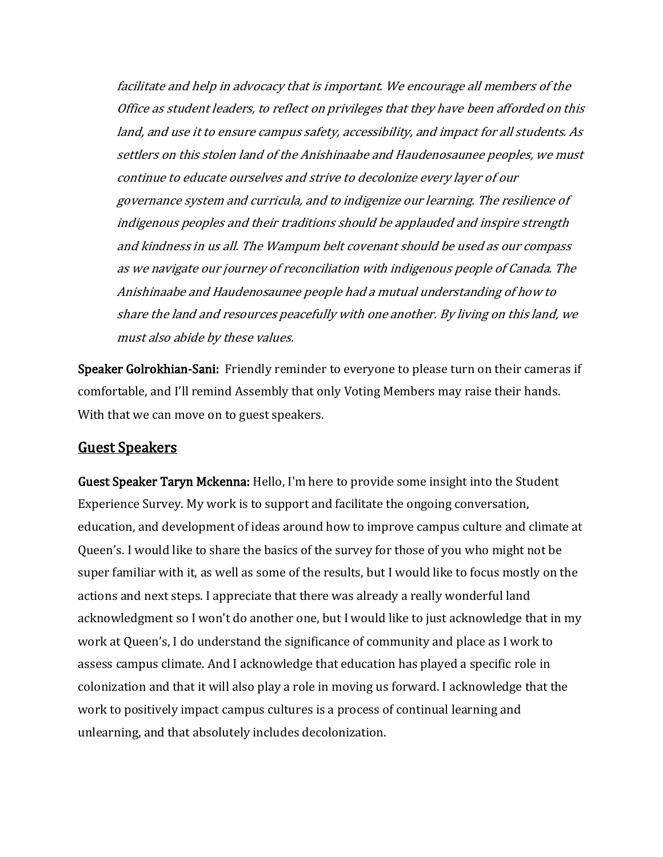facilitate and help in advocacy that is important. We encourage all members of the Office as student leaders, to reflect on privileges that they have been afforded on this land, and use it to ensure campus safety, accessibility, and impact for all students. As settlers on this stolen land of the Anishinaabe and Haudenosaunee peoples, we must continue to educate ourselves and strive to decolonize every layer of our governance system and curricula, and to indigenize our learning. The resilience of indigenous peoples and their traditions should be applauded and inspire strength and kindness in us all. The Wampum belt covenant should be used as our compass as we navigate our journey of reconciliation with indigenous people of Canada. The Anishinaabe and Haudenosaunee people had a mutual understanding of how to share the land and resources peacefully with one another. By living on this land, we must also abide by these values.

Speaker Golrokhian-Sani: Friendly reminder to everyone to please turn on their cameras if comfortable, and I'll remind Assembly that only Voting Members may raise their hands. With that we can move on to guest speakers.

### Guest Speakers

Guest Speaker Taryn Mckenna: Hello, I'm here to provide some insight into the Student Experience Survey. My work is to support and facilitate the ongoing conversation, education, and development of ideas around how to improve campus culture and climate at Queen's. I would like to share the basics of the survey for those of you who might not be super familiar with it, as well as some of the results, but I would like to focus mostly on the actions and next steps. I appreciate that there was already a really wonderful land acknowledgment so I won't do another one, but I would like to just acknowledge that in my work at Queen's, I do understand the significance of community and place as I work to assess campus climate. And I acknowledge that education has played a specific role in colonization and that it will also play a role in moving us forward. I acknowledge that the work to positively impact campus cultures is a process of continual learning and unlearning, and that absolutely includes decolonization.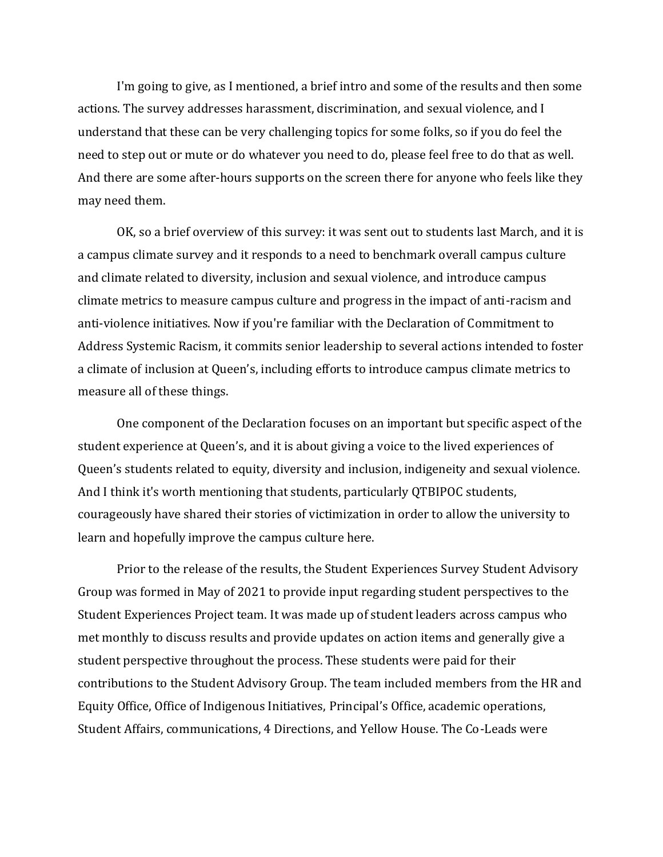I'm going to give, as I mentioned, a brief intro and some of the results and then some actions. The survey addresses harassment, discrimination, and sexual violence, and I understand that these can be very challenging topics for some folks, so if you do feel the need to step out or mute or do whatever you need to do, please feel free to do that as well. And there are some after-hours supports on the screen there for anyone who feels like they may need them.

OK, so a brief overview of this survey: it was sent out to students last March, and it is a campus climate survey and it responds to a need to benchmark overall campus culture and climate related to diversity, inclusion and sexual violence, and introduce campus climate metrics to measure campus culture and progress in the impact of anti-racism and anti-violence initiatives. Now if you're familiar with the Declaration of Commitment to Address Systemic Racism, it commits senior leadership to several actions intended to foster a climate of inclusion at Queen's, including efforts to introduce campus climate metrics to measure all of these things.

One component of the Declaration focuses on an important but specific aspect of the student experience at Queen's, and it is about giving a voice to the lived experiences of Queen's students related to equity, diversity and inclusion, indigeneity and sexual violence. And I think it's worth mentioning that students, particularly QTBIPOC students, courageously have shared their stories of victimization in order to allow the university to learn and hopefully improve the campus culture here.

Prior to the release of the results, the Student Experiences Survey Student Advisory Group was formed in May of 2021 to provide input regarding student perspectives to the Student Experiences Project team. It was made up of student leaders across campus who met monthly to discuss results and provide updates on action items and generally give a student perspective throughout the process. These students were paid for their contributions to the Student Advisory Group. The team included members from the HR and Equity Office, Office of Indigenous Initiatives, Principal's Office, academic operations, Student Affairs, communications, 4 Directions, and Yellow House. The Co-Leads were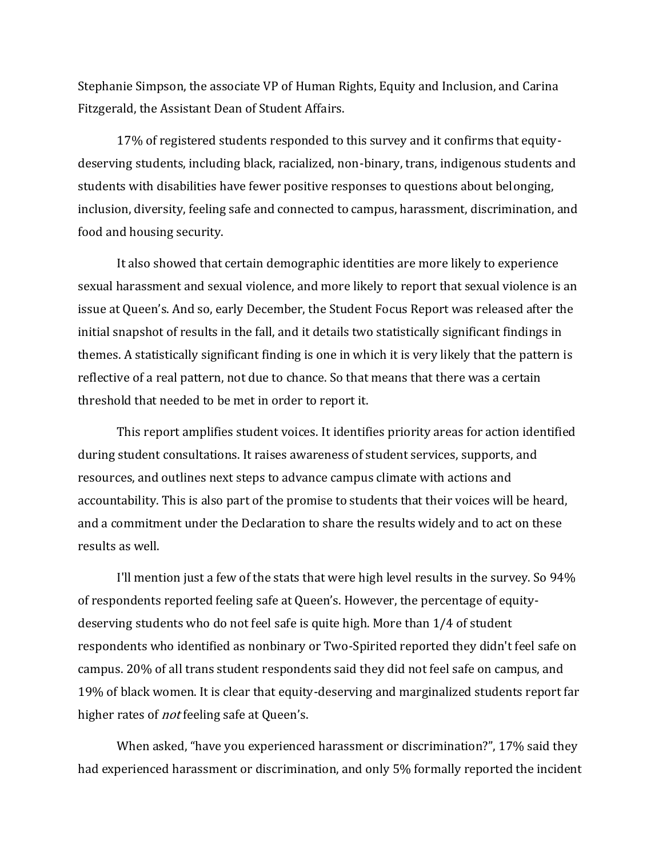Stephanie Simpson, the associate VP of Human Rights, Equity and Inclusion, and Carina Fitzgerald, the Assistant Dean of Student Affairs.

17% of registered students responded to this survey and it confirms that equitydeserving students, including black, racialized, non-binary, trans, indigenous students and students with disabilities have fewer positive responses to questions about belonging, inclusion, diversity, feeling safe and connected to campus, harassment, discrimination, and food and housing security.

It also showed that certain demographic identities are more likely to experience sexual harassment and sexual violence, and more likely to report that sexual violence is an issue at Queen's. And so, early December, the Student Focus Report was released after the initial snapshot of results in the fall, and it details two statistically significant findings in themes. A statistically significant finding is one in which it is very likely that the pattern is reflective of a real pattern, not due to chance. So that means that there was a certain threshold that needed to be met in order to report it.

This report amplifies student voices. It identifies priority areas for action identified during student consultations. It raises awareness of student services, supports, and resources, and outlines next steps to advance campus climate with actions and accountability. This is also part of the promise to students that their voices will be heard, and a commitment under the Declaration to share the results widely and to act on these results as well.

I'll mention just a few of the stats that were high level results in the survey. So 94% of respondents reported feeling safe at Queen's. However, the percentage of equitydeserving students who do not feel safe is quite high. More than 1/4 of student respondents who identified as nonbinary or Two-Spirited reported they didn't feel safe on campus. 20% of all trans student respondents said they did not feel safe on campus, and 19% of black women. It is clear that equity-deserving and marginalized students report far higher rates of *not* feeling safe at Queen's.

When asked, "have you experienced harassment or discrimination?", 17% said they had experienced harassment or discrimination, and only 5% formally reported the incident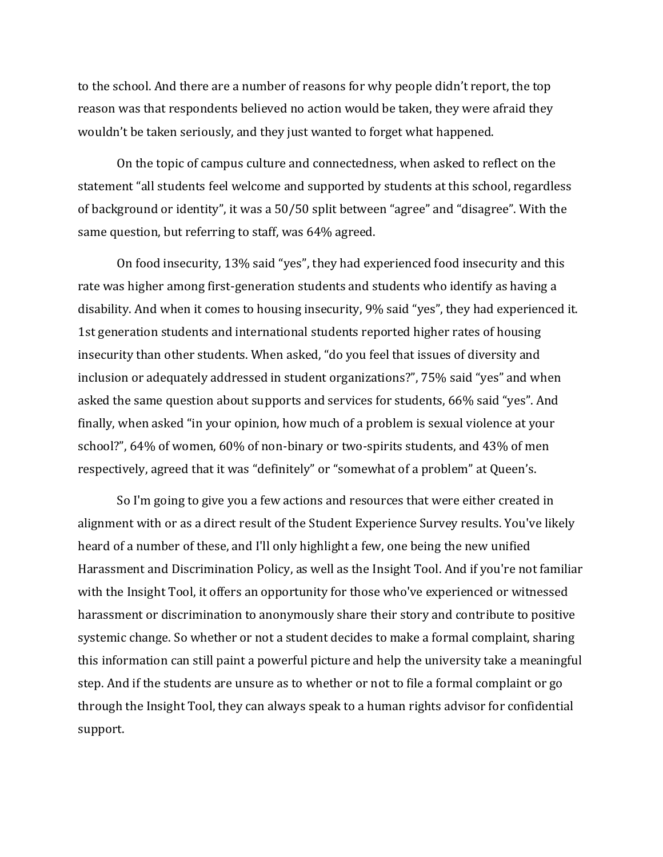to the school. And there are a number of reasons for why people didn't report, the top reason was that respondents believed no action would be taken, they were afraid they wouldn't be taken seriously, and they just wanted to forget what happened.

On the topic of campus culture and connectedness, when asked to reflect on the statement "all students feel welcome and supported by students at this school, regardless of background or identity", it was a 50/50 split between "agree" and "disagree". With the same question, but referring to staff, was 64% agreed.

On food insecurity, 13% said "yes", they had experienced food insecurity and this rate was higher among first-generation students and students who identify as having a disability. And when it comes to housing insecurity, 9% said "yes", they had experienced it. 1st generation students and international students reported higher rates of housing insecurity than other students. When asked, "do you feel that issues of diversity and inclusion or adequately addressed in student organizations?", 75% said "yes" and when asked the same question about supports and services for students, 66% said "yes". And finally, when asked "in your opinion, how much of a problem is sexual violence at your school?", 64% of women, 60% of non-binary or two-spirits students, and 43% of men respectively, agreed that it was "definitely" or "somewhat of a problem" at Queen's.

So I'm going to give you a few actions and resources that were either created in alignment with or as a direct result of the Student Experience Survey results. You've likely heard of a number of these, and I'll only highlight a few, one being the new unified Harassment and Discrimination Policy, as well as the Insight Tool. And if you're not familiar with the Insight Tool, it offers an opportunity for those who've experienced or witnessed harassment or discrimination to anonymously share their story and contribute to positive systemic change. So whether or not a student decides to make a formal complaint, sharing this information can still paint a powerful picture and help the university take a meaningful step. And if the students are unsure as to whether or not to file a formal complaint or go through the Insight Tool, they can always speak to a human rights advisor for confidential support.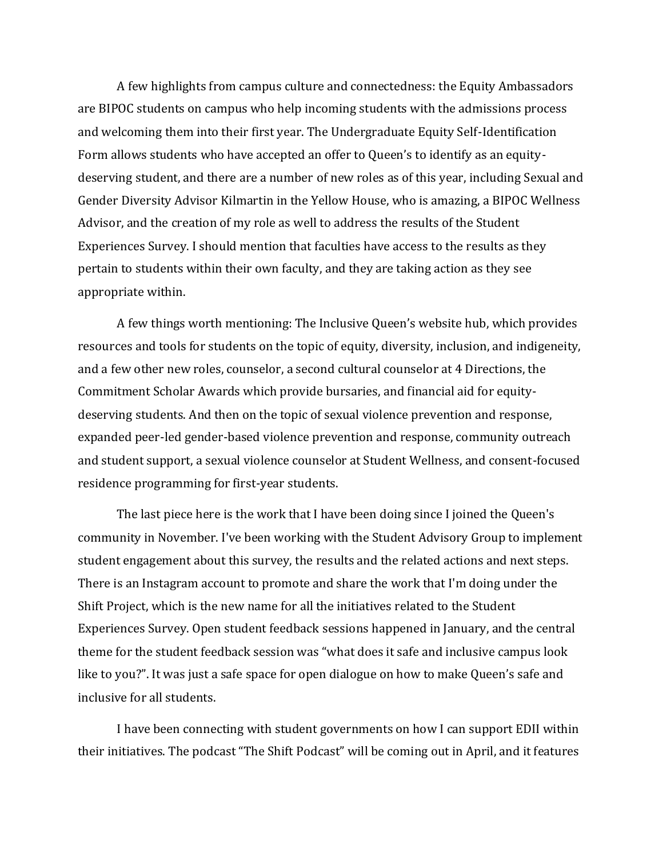A few highlights from campus culture and connectedness: the Equity Ambassadors are BIPOC students on campus who help incoming students with the admissions process and welcoming them into their first year. The Undergraduate Equity Self-Identification Form allows students who have accepted an offer to Queen's to identify as an equitydeserving student, and there are a number of new roles as of this year, including Sexual and Gender Diversity Advisor Kilmartin in the Yellow House, who is amazing, a BIPOC Wellness Advisor, and the creation of my role as well to address the results of the Student Experiences Survey. I should mention that faculties have access to the results as they pertain to students within their own faculty, and they are taking action as they see appropriate within.

A few things worth mentioning: The Inclusive Queen's website hub, which provides resources and tools for students on the topic of equity, diversity, inclusion, and indigeneity, and a few other new roles, counselor, a second cultural counselor at 4 Directions, the Commitment Scholar Awards which provide bursaries, and financial aid for equitydeserving students. And then on the topic of sexual violence prevention and response, expanded peer-led gender-based violence prevention and response, community outreach and student support, a sexual violence counselor at Student Wellness, and consent-focused residence programming for first-year students.

The last piece here is the work that I have been doing since I joined the Queen's community in November. I've been working with the Student Advisory Group to implement student engagement about this survey, the results and the related actions and next steps. There is an Instagram account to promote and share the work that I'm doing under the Shift Project, which is the new name for all the initiatives related to the Student Experiences Survey. Open student feedback sessions happened in January, and the central theme for the student feedback session was "what does it safe and inclusive campus look like to you?". It was just a safe space for open dialogue on how to make Queen's safe and inclusive for all students.

I have been connecting with student governments on how I can support EDII within their initiatives. The podcast "The Shift Podcast" will be coming out in April, and it features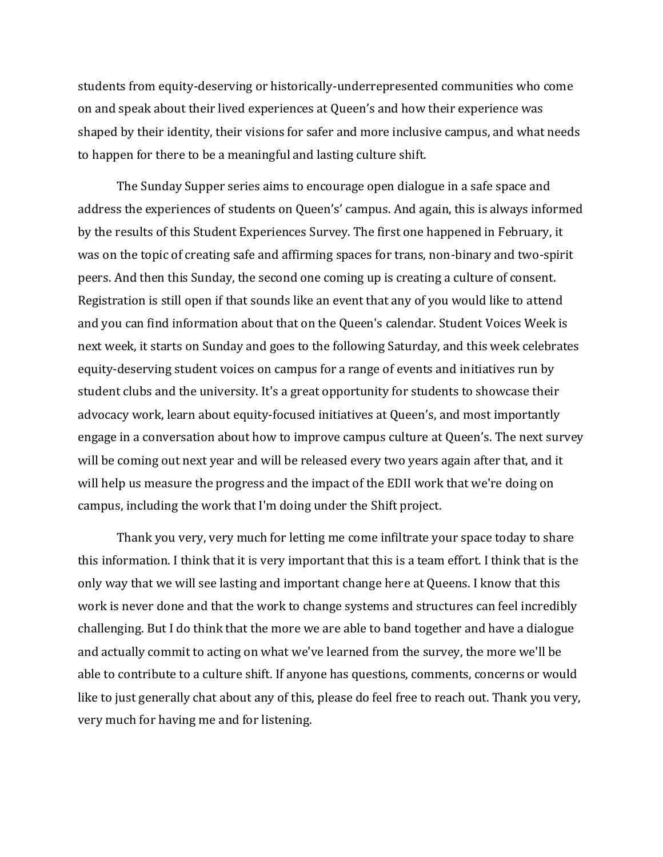students from equity-deserving or historically-underrepresented communities who come on and speak about their lived experiences at Queen's and how their experience was shaped by their identity, their visions for safer and more inclusive campus, and what needs to happen for there to be a meaningful and lasting culture shift.

The Sunday Supper series aims to encourage open dialogue in a safe space and address the experiences of students on Queen's' campus. And again, this is always informed by the results of this Student Experiences Survey. The first one happened in February, it was on the topic of creating safe and affirming spaces for trans, non-binary and two-spirit peers. And then this Sunday, the second one coming up is creating a culture of consent. Registration is still open if that sounds like an event that any of you would like to attend and you can find information about that on the Queen's calendar. Student Voices Week is next week, it starts on Sunday and goes to the following Saturday, and this week celebrates equity-deserving student voices on campus for a range of events and initiatives run by student clubs and the university. It's a great opportunity for students to showcase their advocacy work, learn about equity-focused initiatives at Queen's, and most importantly engage in a conversation about how to improve campus culture at Queen's. The next survey will be coming out next year and will be released every two years again after that, and it will help us measure the progress and the impact of the EDII work that we're doing on campus, including the work that I'm doing under the Shift project.

Thank you very, very much for letting me come infiltrate your space today to share this information. I think that it is very important that this is a team effort. I think that is the only way that we will see lasting and important change here at Queens. I know that this work is never done and that the work to change systems and structures can feel incredibly challenging. But I do think that the more we are able to band together and have a dialogue and actually commit to acting on what we've learned from the survey, the more we'll be able to contribute to a culture shift. If anyone has questions, comments, concerns or would like to just generally chat about any of this, please do feel free to reach out. Thank you very, very much for having me and for listening.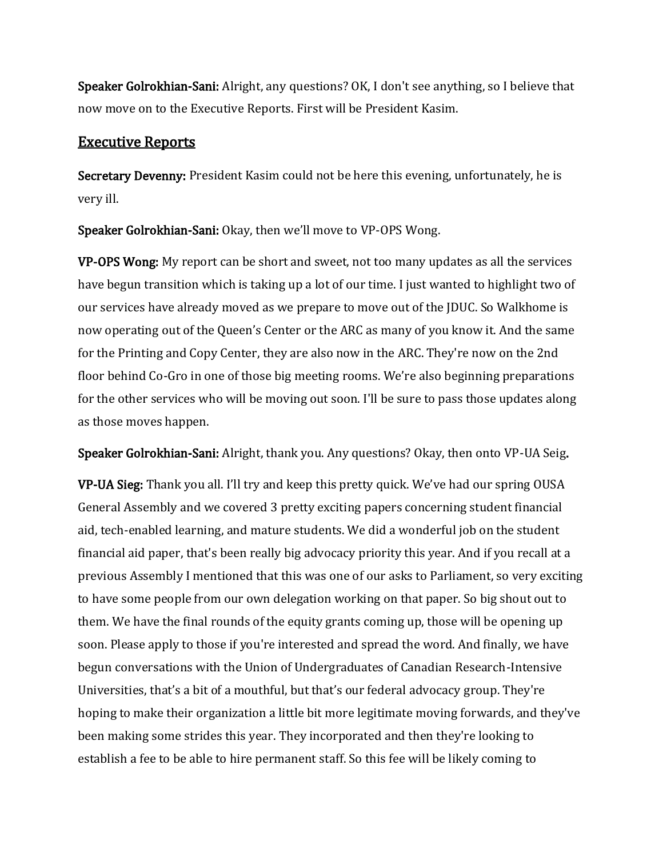Speaker Golrokhian-Sani: Alright, any questions? OK, I don't see anything, so I believe that now move on to the Executive Reports. First will be President Kasim.

### Executive Reports

Secretary Devenny: President Kasim could not be here this evening, unfortunately, he is very ill.

Speaker Golrokhian-Sani: Okay, then we'll move to VP-OPS Wong.

VP-OPS Wong: My report can be short and sweet, not too many updates as all the services have begun transition which is taking up a lot of our time. I just wanted to highlight two of our services have already moved as we prepare to move out of the JDUC. So Walkhome is now operating out of the Queen's Center or the ARC as many of you know it. And the same for the Printing and Copy Center, they are also now in the ARC. They're now on the 2nd floor behind Co-Gro in one of those big meeting rooms. We're also beginning preparations for the other services who will be moving out soon. I'll be sure to pass those updates along as those moves happen.

Speaker Golrokhian-Sani: Alright, thank you. Any questions? Okay, then onto VP-UA Seig.

VP-UA Sieg: Thank you all. I'll try and keep this pretty quick. We've had our spring OUSA General Assembly and we covered 3 pretty exciting papers concerning student financial aid, tech-enabled learning, and mature students. We did a wonderful job on the student financial aid paper, that's been really big advocacy priority this year. And if you recall at a previous Assembly I mentioned that this was one of our asks to Parliament, so very exciting to have some people from our own delegation working on that paper. So big shout out to them. We have the final rounds of the equity grants coming up, those will be opening up soon. Please apply to those if you're interested and spread the word. And finally, we have begun conversations with the Union of Undergraduates of Canadian Research-Intensive Universities, that's a bit of a mouthful, but that's our federal advocacy group. They're hoping to make their organization a little bit more legitimate moving forwards, and they've been making some strides this year. They incorporated and then they're looking to establish a fee to be able to hire permanent staff. So this fee will be likely coming to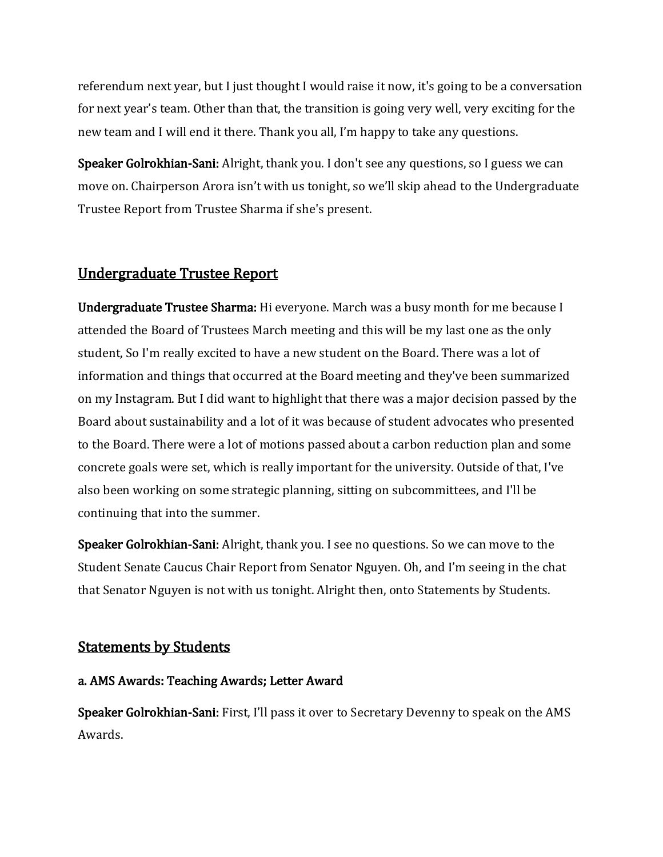referendum next year, but I just thought I would raise it now, it's going to be a conversation for next year's team. Other than that, the transition is going very well, very exciting for the new team and I will end it there. Thank you all, I'm happy to take any questions.

Speaker Golrokhian-Sani: Alright, thank you. I don't see any questions, so I guess we can move on. Chairperson Arora isn't with us tonight, so we'll skip ahead to the Undergraduate Trustee Report from Trustee Sharma if she's present.

# Undergraduate Trustee Report

Undergraduate Trustee Sharma: Hi everyone. March was a busy month for me because I attended the Board of Trustees March meeting and this will be my last one as the only student, So I'm really excited to have a new student on the Board. There was a lot of information and things that occurred at the Board meeting and they've been summarized on my Instagram. But I did want to highlight that there was a major decision passed by the Board about sustainability and a lot of it was because of student advocates who presented to the Board. There were a lot of motions passed about a carbon reduction plan and some concrete goals were set, which is really important for the university. Outside of that, I've also been working on some strategic planning, sitting on subcommittees, and I'll be continuing that into the summer.

Speaker Golrokhian-Sani: Alright, thank you. I see no questions. So we can move to the Student Senate Caucus Chair Report from Senator Nguyen. Oh, and I'm seeing in the chat that Senator Nguyen is not with us tonight. Alright then, onto Statements by Students.

# Statements by Students

### a. AMS Awards: Teaching Awards; Letter Award

Speaker Golrokhian-Sani: First, I'll pass it over to Secretary Devenny to speak on the AMS Awards.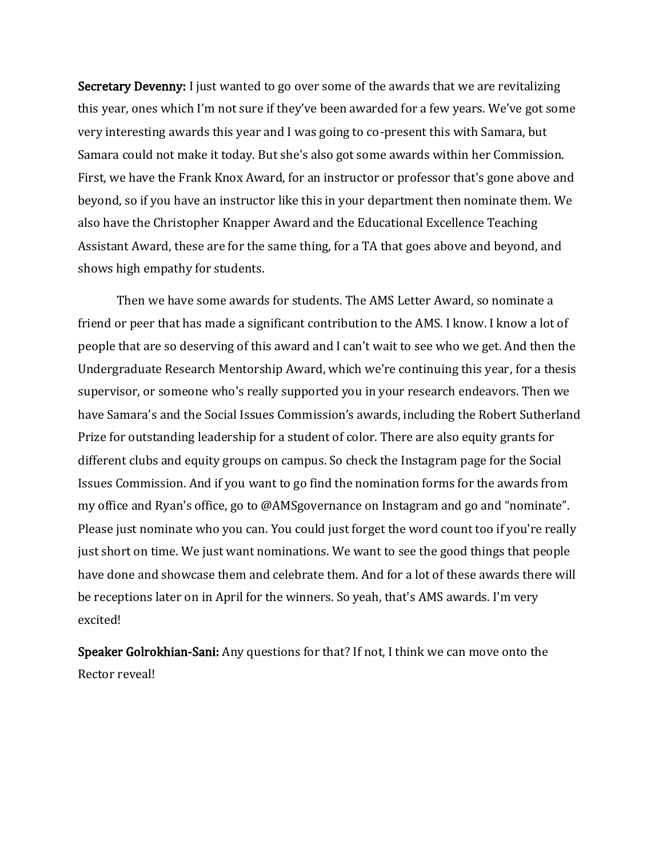Secretary Devenny: I just wanted to go over some of the awards that we are revitalizing this year, ones which I'm not sure if they've been awarded for a few years. We've got some very interesting awards this year and I was going to co-present this with Samara, but Samara could not make it today. But she's also got some awards within her Commission. First, we have the Frank Knox Award, for an instructor or professor that's gone above and beyond, so if you have an instructor like this in your department then nominate them. We also have the Christopher Knapper Award and the Educational Excellence Teaching Assistant Award, these are for the same thing, for a TA that goes above and beyond, and shows high empathy for students.

Then we have some awards for students. The AMS Letter Award, so nominate a friend or peer that has made a significant contribution to the AMS. I know. I know a lot of people that are so deserving of this award and I can't wait to see who we get. And then the Undergraduate Research Mentorship Award, which we're continuing this year, for a thesis supervisor, or someone who's really supported you in your research endeavors. Then we have Samara's and the Social Issues Commission's awards, including the Robert Sutherland Prize for outstanding leadership for a student of color. There are also equity grants for different clubs and equity groups on campus. So check the Instagram page for the Social Issues Commission. And if you want to go find the nomination forms for the awards from my office and Ryan's office, go to @AMSgovernance on Instagram and go and "nominate". Please just nominate who you can. You could just forget the word count too if you're really just short on time. We just want nominations. We want to see the good things that people have done and showcase them and celebrate them. And for a lot of these awards there will be receptions later on in April for the winners. So yeah, that's AMS awards. I'm very excited!

Speaker Golrokhian-Sani: Any questions for that? If not, I think we can move onto the Rector reveal!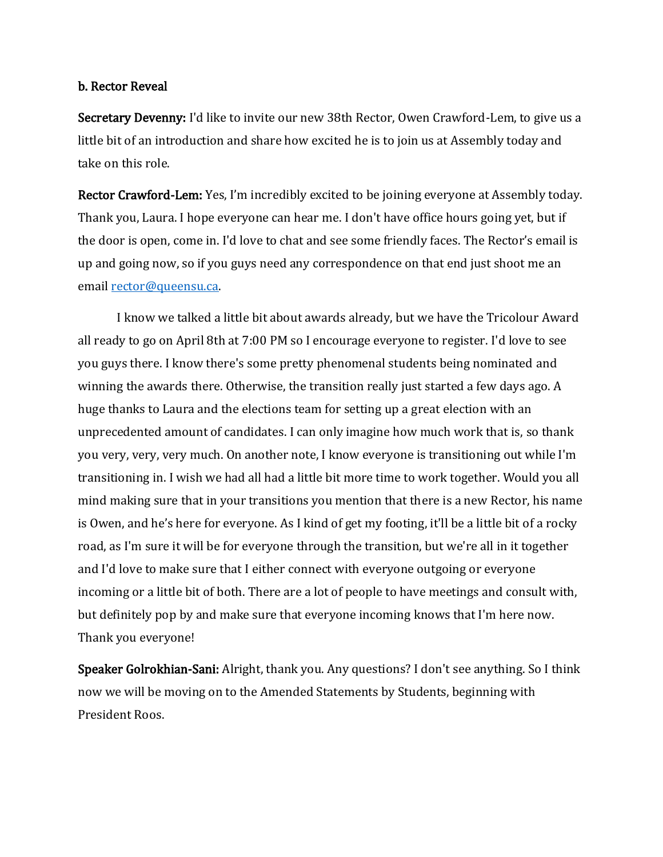#### b. Rector Reveal

Secretary Devenny: I'd like to invite our new 38th Rector, Owen Crawford-Lem, to give us a little bit of an introduction and share how excited he is to join us at Assembly today and take on this role.

Rector Crawford-Lem: Yes, I'm incredibly excited to be joining everyone at Assembly today. Thank you, Laura. I hope everyone can hear me. I don't have office hours going yet, but if the door is open, come in. I'd love to chat and see some friendly faces. The Rector's email is up and going now, so if you guys need any correspondence on that end just shoot me an email [rector@queensu.ca.](mailto:rector@queensu.ca)

I know we talked a little bit about awards already, but we have the Tricolour Award all ready to go on April 8th at 7:00 PM so I encourage everyone to register. I'd love to see you guys there. I know there's some pretty phenomenal students being nominated and winning the awards there. Otherwise, the transition really just started a few days ago. A huge thanks to Laura and the elections team for setting up a great election with an unprecedented amount of candidates. I can only imagine how much work that is, so thank you very, very, very much. On another note, I know everyone is transitioning out while I'm transitioning in. I wish we had all had a little bit more time to work together. Would you all mind making sure that in your transitions you mention that there is a new Rector, his name is Owen, and he's here for everyone. As I kind of get my footing, it'll be a little bit of a rocky road, as I'm sure it will be for everyone through the transition, but we're all in it together and I'd love to make sure that I either connect with everyone outgoing or everyone incoming or a little bit of both. There are a lot of people to have meetings and consult with, but definitely pop by and make sure that everyone incoming knows that I'm here now. Thank you everyone!

Speaker Golrokhian-Sani: Alright, thank you. Any questions? I don't see anything. So I think now we will be moving on to the Amended Statements by Students, beginning with President Roos.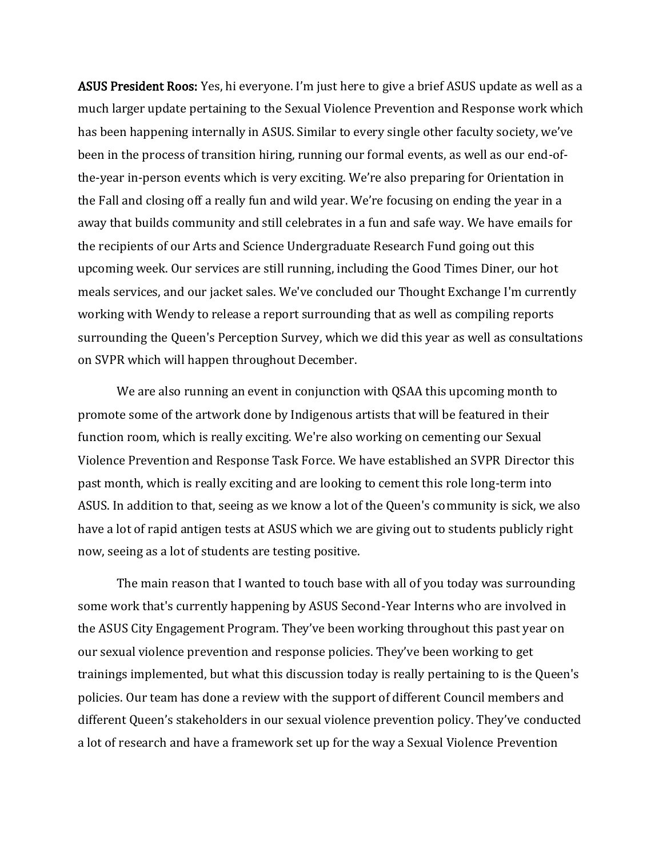ASUS President Roos: Yes, hi everyone. I'm just here to give a brief ASUS update as well as a much larger update pertaining to the Sexual Violence Prevention and Response work which has been happening internally in ASUS. Similar to every single other faculty society, we've been in the process of transition hiring, running our formal events, as well as our end-ofthe-year in-person events which is very exciting. We're also preparing for Orientation in the Fall and closing off a really fun and wild year. We're focusing on ending the year in a away that builds community and still celebrates in a fun and safe way. We have emails for the recipients of our Arts and Science Undergraduate Research Fund going out this upcoming week. Our services are still running, including the Good Times Diner, our hot meals services, and our jacket sales. We've concluded our Thought Exchange I'm currently working with Wendy to release a report surrounding that as well as compiling reports surrounding the Queen's Perception Survey, which we did this year as well as consultations on SVPR which will happen throughout December.

We are also running an event in conjunction with QSAA this upcoming month to promote some of the artwork done by Indigenous artists that will be featured in their function room, which is really exciting. We're also working on cementing our Sexual Violence Prevention and Response Task Force. We have established an SVPR Director this past month, which is really exciting and are looking to cement this role long-term into ASUS. In addition to that, seeing as we know a lot of the Queen's community is sick, we also have a lot of rapid antigen tests at ASUS which we are giving out to students publicly right now, seeing as a lot of students are testing positive.

The main reason that I wanted to touch base with all of you today was surrounding some work that's currently happening by ASUS Second-Year Interns who are involved in the ASUS City Engagement Program. They've been working throughout this past year on our sexual violence prevention and response policies. They've been working to get trainings implemented, but what this discussion today is really pertaining to is the Queen's policies. Our team has done a review with the support of different Council members and different Queen's stakeholders in our sexual violence prevention policy. They've conducted a lot of research and have a framework set up for the way a Sexual Violence Prevention